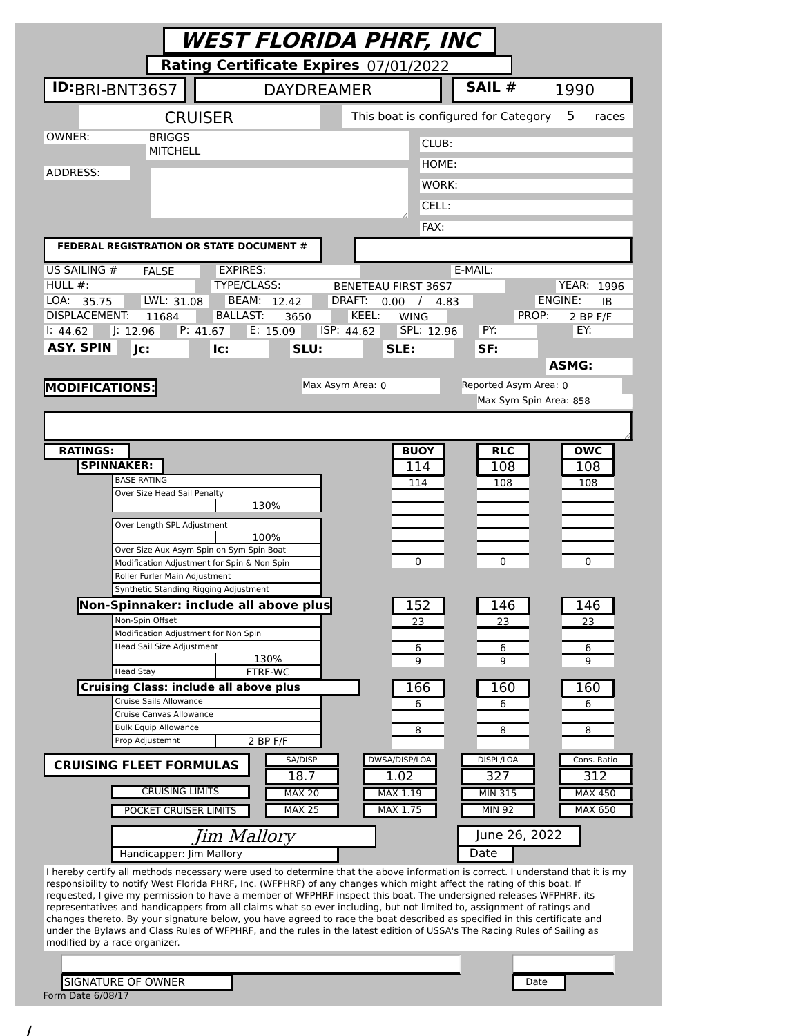|                                                                                                                                                                                                                                              |                                        | WEST FLORIDA PHRF, INC                           |                        |                              |
|----------------------------------------------------------------------------------------------------------------------------------------------------------------------------------------------------------------------------------------------|----------------------------------------|--------------------------------------------------|------------------------|------------------------------|
|                                                                                                                                                                                                                                              |                                        | Rating Certificate Expires 07/01/2022            |                        |                              |
| ID:BRI-BNT36S7                                                                                                                                                                                                                               | <b>DAYDREAMER</b>                      |                                                  | SAIL #                 | 1990                         |
| <b>CRUISER</b>                                                                                                                                                                                                                               |                                        | This boat is configured for Category             |                        | 5<br>races                   |
| OWNER:<br><b>BRIGGS</b>                                                                                                                                                                                                                      |                                        | CLUB:                                            |                        |                              |
| <b>MITCHELL</b>                                                                                                                                                                                                                              |                                        | HOME:                                            |                        |                              |
| ADDRESS:                                                                                                                                                                                                                                     |                                        | WORK:                                            |                        |                              |
|                                                                                                                                                                                                                                              |                                        | CELL:                                            |                        |                              |
|                                                                                                                                                                                                                                              |                                        | FAX:                                             |                        |                              |
| FEDERAL REGISTRATION OR STATE DOCUMENT #                                                                                                                                                                                                     |                                        |                                                  |                        |                              |
| US SAILING #<br><b>FALSE</b>                                                                                                                                                                                                                 | <b>EXPIRES:</b>                        |                                                  | E-MAIL:                |                              |
| HULL $#$ :                                                                                                                                                                                                                                   | TYPE/CLASS:                            | <b>BENETEAU FIRST 36S7</b>                       |                        | <b>YEAR: 1996</b><br>ENGINE: |
| LWL: 31.08<br>LOA:<br>35.75<br><b>DISPLACEMENT:</b><br>11684                                                                                                                                                                                 | BEAM: 12.42<br><b>BALLAST:</b><br>3650 | DRAFT:<br>0.00 /<br>4.83<br>KEEL:<br><b>WING</b> | PROP:                  | ΙB<br>2 BP F/F               |
| P: 41.67<br>J: 12.96<br>1: 44.62                                                                                                                                                                                                             | E: 15.09                               | ISP: 44.62<br>SPL: 12.96                         | PY:                    | EY:                          |
| <b>ASY. SPIN</b><br>Jc:<br>lc:                                                                                                                                                                                                               | SLU:                                   | SLE:                                             | SF:                    |                              |
|                                                                                                                                                                                                                                              |                                        |                                                  |                        | <b>ASMG:</b>                 |
| <b>MODIFICATIONS:</b>                                                                                                                                                                                                                        |                                        | Max Asym Area: 0                                 | Reported Asym Area: 0  |                              |
|                                                                                                                                                                                                                                              |                                        |                                                  | Max Sym Spin Area: 858 |                              |
|                                                                                                                                                                                                                                              |                                        |                                                  |                        |                              |
| <b>RATINGS:</b>                                                                                                                                                                                                                              |                                        | <b>BUOY</b>                                      | <b>RLC</b>             | <b>OWC</b>                   |
| <b>SPINNAKER:</b>                                                                                                                                                                                                                            |                                        | 114                                              | 108                    | 108                          |
| <b>BASE RATING</b>                                                                                                                                                                                                                           |                                        | 114                                              | 108                    | 108                          |
| Over Size Head Sail Penalty                                                                                                                                                                                                                  | 130%                                   |                                                  |                        |                              |
| Over Length SPL Adjustment                                                                                                                                                                                                                   |                                        |                                                  |                        |                              |
|                                                                                                                                                                                                                                              | 100%                                   |                                                  |                        |                              |
| Over Size Aux Asym Spin on Sym Spin Boat<br>Modification Adjustment for Spin & Non Spin                                                                                                                                                      |                                        | 0                                                | 0                      | 0                            |
| Roller Furler Main Adjustment                                                                                                                                                                                                                |                                        |                                                  |                        |                              |
| Synthetic Standing Rigging Adjustment<br>Non-Spinnaker: include all above plus                                                                                                                                                               |                                        | 152                                              | 146                    | 146                          |
| Non-Spin Offset                                                                                                                                                                                                                              |                                        | 23                                               | 23                     | 23                           |
| Modification Adjustment for Non Spin<br><b>Head Sail Size Adjustment</b>                                                                                                                                                                     |                                        |                                                  |                        |                              |
|                                                                                                                                                                                                                                              | 130%                                   | 6<br>9                                           | 6<br>9                 | 6<br>9                       |
| <b>Head Stay</b>                                                                                                                                                                                                                             | FTRF-WC                                |                                                  |                        |                              |
| <b>Cruising Class: include all above plus</b><br>Cruise Sails Allowance                                                                                                                                                                      |                                        | 166<br>6                                         | 160<br>6               | 160<br>6                     |
| Cruise Canvas Allowance                                                                                                                                                                                                                      |                                        |                                                  |                        |                              |
| <b>Bulk Equip Allowance</b><br>Prop Adjustemnt                                                                                                                                                                                               | $2$ BP $F/F$                           | 8                                                | 8                      | 8                            |
| <b>CRUISING FLEET FORMULAS</b>                                                                                                                                                                                                               | SA/DISP                                | DWSA/DISP/LOA                                    | DISPL/LOA              | Cons. Ratio                  |
|                                                                                                                                                                                                                                              | 18.7                                   | 1.02                                             | 327                    | 312                          |
| <b>CRUISING LIMITS</b>                                                                                                                                                                                                                       | <b>MAX 20</b>                          | MAX 1.19                                         | MIN 315                | <b>MAX 450</b>               |
| POCKET CRUISER LIMITS                                                                                                                                                                                                                        | <b>MAX 25</b>                          | MAX 1.75                                         | <b>MIN 92</b>          | MAX 650                      |
|                                                                                                                                                                                                                                              | Jim Mallory                            |                                                  | June 26, 2022          |                              |
| Handicapper: Jim Mallory<br>I hereby certify all methods necessary were used to determine that the above information is correct. I understand that it is my                                                                                  |                                        |                                                  | Date                   |                              |
| responsibility to notify West Florida PHRF, Inc. (WFPHRF) of any changes which might affect the rating of this boat. If                                                                                                                      |                                        |                                                  |                        |                              |
| requested, I give my permission to have a member of WFPHRF inspect this boat. The undersigned releases WFPHRF, its<br>representatives and handicappers from all claims what so ever including, but not limited to, assignment of ratings and |                                        |                                                  |                        |                              |
| changes thereto. By your signature below, you have agreed to race the boat described as specified in this certificate and                                                                                                                    |                                        |                                                  |                        |                              |
| under the Bylaws and Class Rules of WFPHRF, and the rules in the latest edition of USSA's The Racing Rules of Sailing as<br>modified by a race organizer.                                                                                    |                                        |                                                  |                        |                              |
|                                                                                                                                                                                                                                              |                                        |                                                  |                        |                              |
| SIGNATURE OF OWNER                                                                                                                                                                                                                           |                                        |                                                  | Date                   |                              |
| Form Date 6/08/17                                                                                                                                                                                                                            |                                        |                                                  |                        |                              |

/